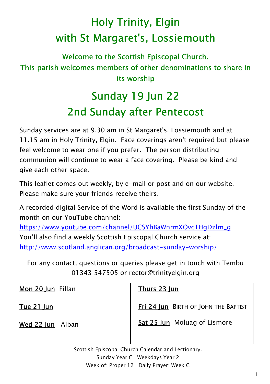# Holy Trinity, Elgin with St Margaret's, Lossiemouth

Welcome to the Scottish Episcopal Church. This parish welcomes members of other denominations to share in its worship

# Sunday 19 Jun 22 2nd Sunday after Pentecost

Sunday services are at 9.30 am in St Margaret's, Lossiemouth and at 11.15 am in Holy Trinity, Elgin. Face coverings aren't required but please feel welcome to wear one if you prefer. The person distributing communion will continue to wear a face covering. Please be kind and give each other space.

This leaflet comes out weekly, by e-mail or post and on our website. Please make sure your friends receive theirs.

A recorded digital Service of the Word is available the first Sunday of the month on our YouTube channel:

https://www.youtube.com/channel/UCSYhBaWnrmXOvc1HgDzlm\_g You'll also find a weekly Scottish Episcopal Church service at: http://www.scotland.anglican.org/broadcast-sunday-worship/

For any contact, questions or queries please get in touch with Tembu 01343 547505 or rector@trinityelgin.org

Mon 20 Iun Fillan

# Thurs 23 Jun

Fri 24 Jun BIRTH OF JOHN THE BAPTIST

Sat 25 Jun Moluag of Lismore

Scottish Episcopal Church Calendar and Lectionary. Sunday Year C Weekdays Year 2 Week of: Proper 12 Daily Prayer: Week C

Tue 21 Iun

Wed 22 **Jun** Alban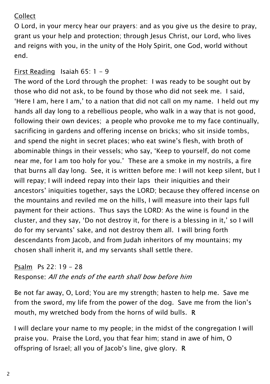### Collect

O Lord, in your mercy hear our prayers: and as you give us the desire to pray, grant us your help and protection; through Jesus Christ, our Lord, who lives and reigns with you, in the unity of the Holy Spirit, one God, world without end.

#### First Reading Isaiah  $65: 1 - 9$

The word of the Lord through the prophet: I was ready to be sought out by those who did not ask, to be found by those who did not seek me. I said, 'Here I am, here I am,' to a nation that did not call on my name. I held out my hands all day long to a rebellious people, who walk in a way that is not good, following their own devices; a people who provoke me to my face continually, sacrificing in gardens and offering incense on bricks; who sit inside tombs, and spend the night in secret places; who eat swine's flesh, with broth of abominable things in their vessels; who say, 'Keep to yourself, do not come near me, for I am too holy for you.' These are a smoke in my nostrils, a fire that burns all day long. See, it is written before me: I will not keep silent, but I will repay; I will indeed repay into their laps their iniquities and their ancestors' iniquities together, says the LORD; because they offered incense on the mountains and reviled me on the hills, I will measure into their laps full payment for their actions. Thus says the LORD: As the wine is found in the cluster, and they say, 'Do not destroy it, for there is a blessing in it,' so I will do for my servants' sake, and not destroy them all. I will bring forth descendants from Jacob, and from Judah inheritors of my mountains; my chosen shall inherit it, and my servants shall settle there.

### Psalm Ps 22: 19 - 28 Response: All the ends of the earth shall bow before him

Be not far away, O, Lord; You are my strength; hasten to help me. Save me from the sword, my life from the power of the dog. Save me from the lion's mouth, my wretched body from the horns of wild bulls. R

I will declare your name to my people; in the midst of the congregation I will praise you. Praise the Lord, you that fear him; stand in awe of him, O offspring of Israel; all you of Jacob's line, give glory. R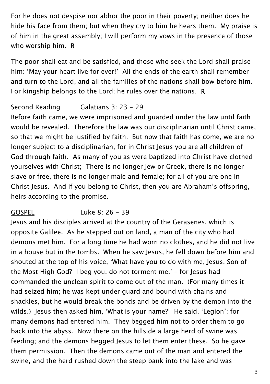For he does not despise nor abhor the poor in their poverty; neither does he hide his face from them; but when they cry to him he hears them. My praise is of him in the great assembly; I will perform my vows in the presence of those who worship him. R

The poor shall eat and be satisfied, and those who seek the Lord shall praise him: 'May your heart live for ever!' All the ends of the earth shall remember and turn to the Lord, and all the families of the nations shall bow before him. For kingship belongs to the Lord; he rules over the nations. R

## Second Reading Galatians 3: 23 - 29

Before faith came, we were imprisoned and guarded under the law until faith would be revealed. Therefore the law was our disciplinarian until Christ came, so that we might be justified by faith. But now that faith has come, we are no longer subject to a disciplinarian, for in Christ Jesus you are all children of God through faith. As many of you as were baptized into Christ have clothed yourselves with Christ; There is no longer Jew or Greek, there is no longer slave or free, there is no longer male and female; for all of you are one in Christ Jesus. And if you belong to Christ, then you are Abraham's offspring, heirs according to the promise.

# GOSPEL Luke 8: 26 - 39

Jesus and his disciples arrived at the country of the Gerasenes, which is opposite Galilee. As he stepped out on land, a man of the city who had demons met him. For a long time he had worn no clothes, and he did not live in a house but in the tombs. When he saw Jesus, he fell down before him and shouted at the top of his voice, 'What have you to do with me, Jesus, Son of the Most High God? I beg you, do not torment me.' – for Jesus had commanded the unclean spirit to come out of the man. (For many times it had seized him; he was kept under guard and bound with chains and shackles, but he would break the bonds and be driven by the demon into the wilds.) Jesus then asked him, 'What is your name?' He said, 'Legion'; for many demons had entered him. They begged him not to order them to go back into the abyss. Now there on the hillside a large herd of swine was feeding; and the demons begged Jesus to let them enter these. So he gave them permission. Then the demons came out of the man and entered the swine, and the herd rushed down the steep bank into the lake and was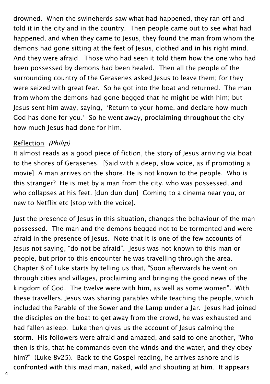drowned. When the swineherds saw what had happened, they ran off and told it in the city and in the country. Then people came out to see what had happened, and when they came to Jesus, they found the man from whom the demons had gone sitting at the feet of Jesus, clothed and in his right mind. And they were afraid. Those who had seen it told them how the one who had been possessed by demons had been healed. Then all the people of the surrounding country of the Gerasenes asked Jesus to leave them; for they were seized with great fear. So he got into the boat and returned. The man from whom the demons had gone begged that he might be with him; but Jesus sent him away, saying, 'Return to your home, and declare how much God has done for you.' So he went away, proclaiming throughout the city how much Jesus had done for him.

#### Reflection (Philip)

It almost reads as a good piece of fiction, the story of Jesus arriving via boat to the shores of Gerasenes. [Said with a deep, slow voice, as if promoting a movie] A man arrives on the shore. He is not known to the people. Who is this stranger? He is met by a man from the city, who was possessed, and who collapses at his feet. [dun dun dun] Coming to a cinema near you, or new to Netflix etc [stop with the voice].

Just the presence of Jesus in this situation, changes the behaviour of the man possessed. The man and the demons begged not to be tormented and were afraid in the presence of Jesus. Note that it is one of the few accounts of Jesus not saying, "do not be afraid". Jesus was not known to this man or people, but prior to this encounter he was travelling through the area. Chapter 8 of Luke starts by telling us that, "Soon afterwards he went on through cities and villages, proclaiming and bringing the good news of the kingdom of God. The twelve were with him, as well as some women". With these travellers, Jesus was sharing parables while teaching the people, which included the Parable of the Sower and the Lamp under a Jar. Jesus had joined the disciples on the boat to get away from the crowd, he was exhausted and had fallen asleep. Luke then gives us the account of Jesus calming the storm. His followers were afraid and amazed, and said to one another, "Who then is this, that he commands even the winds and the water, and they obey him?" (Luke 8v25). Back to the Gospel reading, he arrives ashore and is confronted with this mad man, naked, wild and shouting at him. It appears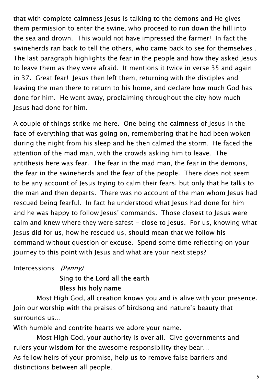that with complete calmness Jesus is talking to the demons and He gives them permission to enter the swine, who proceed to run down the hill into the sea and drown. This would not have impressed the farmer! In fact the swineherds ran back to tell the others, who came back to see for themselves . The last paragraph highlights the fear in the people and how they asked Jesus to leave them as they were afraid. It mentions it twice in verse 35 and again in 37. Great fear! Jesus then left them, returning with the disciples and leaving the man there to return to his home, and declare how much God has done for him. He went away, proclaiming throughout the city how much Jesus had done for him.

A couple of things strike me here. One being the calmness of Jesus in the face of everything that was going on, remembering that he had been woken during the night from his sleep and he then calmed the storm. He faced the attention of the mad man, with the crowds asking him to leave. The antithesis here was fear. The fear in the mad man, the fear in the demons, the fear in the swineherds and the fear of the people. There does not seem to be any account of Jesus trying to calm their fears, but only that he talks to the man and then departs. There was no account of the man whom Jesus had rescued being fearful. In fact he understood what Jesus had done for him and he was happy to follow Jesus' commands. Those closest to Jesus were calm and knew where they were safest - close to Jesus. For us, knowing what Jesus did for us, how he rescued us, should mean that we follow his command without question or excuse. Spend some time reflecting on your journey to this point with Jesus and what are your next steps?

#### Intercessions (Panny)

# Sing to the Lord all the earth Bless his holy name

Most High God, all creation knows you and is alive with your presence. Join our worship with the praises of birdsong and nature's beauty that surrounds us…

With humble and contrite hearts we adore your name.

Most High God, your authority is over all. Give governments and rulers your wisdom for the awesome responsibility they bear… As fellow heirs of your promise, help us to remove false barriers and distinctions between all people.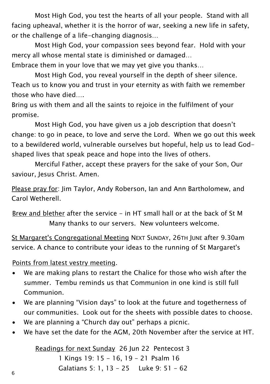Most High God, you test the hearts of all your people. Stand with all facing upheaval, whether it is the horror of war, seeking a new life in safety, or the challenge of a life-changing diagnosis…

Most High God, your compassion sees beyond fear. Hold with your mercy all whose mental state is diminished or damaged… Embrace them in your love that we may yet give you thanks…

Most High God, you reveal yourself in the depth of sheer silence. Teach us to know you and trust in your eternity as with faith we remember those who have died….

Bring us with them and all the saints to rejoice in the fulfilment of your promise.

Most High God, you have given us a job description that doesn't change: to go in peace, to love and serve the Lord. When we go out this week to a bewildered world, vulnerable ourselves but hopeful, help us to lead Godshaped lives that speak peace and hope into the lives of others.

Merciful Father, accept these prayers for the sake of your Son, Our saviour, Jesus Christ. Amen.

Please pray for: Jim Taylor, Andy Roberson, Ian and Ann Bartholomew, and Carol Wetherell.

Brew and blether after the service - in HT small hall or at the back of St M Many thanks to our servers. New volunteers welcome.

St Margaret's Congregational Meeting NEXT SUNDAY, 26TH JUNE after 9.30am service. A chance to contribute your ideas to the running of St Margaret's

Points from latest vestry meeting.

- We are making plans to restart the Chalice for those who wish after the summer. Tembu reminds us that Communion in one kind is still full Communion.
- · We are planning "Vision days" to look at the future and togetherness of our communities. Look out for the sheets with possible dates to choose.
- We are planning a "Church day out" perhaps a picnic.
- · We have set the date for the AGM, 20th November after the service at HT.

Readings for next Sunday 26 Jun 22 Pentecost 3 1 Kings 19: 15 - 16, 19 - 21 Psalm 16

Galatians 5: 1, 13 - 25 Luke 9: 51 - 62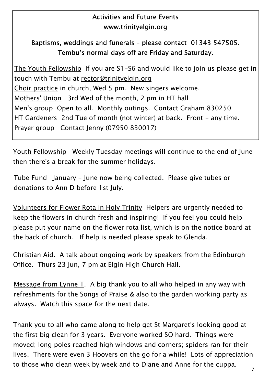# Activities and Future Events www.trinityelgin.org

# Baptisms, weddings and funerals – please contact 01343 547505. Tembu's normal days off are Friday and Saturday.

The Youth Fellowship If you are S1-S6 and would like to join us please get in touch with Tembu at rector@trinityelgin.org Choir practice in church, Wed 5 pm. New singers welcome. Mothers' Union 3rd Wed of the month, 2 pm in HT hall Men's group Open to all. Monthly outings. Contact Graham 830250 HT Gardeners 2nd Tue of month (not winter) at back. Front - any time. Prayer group Contact Jenny (07950 830017)

Youth Fellowship Weekly Tuesday meetings will continue to the end of June then there's a break for the summer holidays.

Tube Fund January - June now being collected. Please give tubes or donations to Ann D before 1st July.

Volunteers for Flower Rota in Holy Trinity Helpers are urgently needed to keep the flowers in church fresh and inspiring! If you feel you could help please put your name on the flower rota list, which is on the notice board at the back of church. If help is needed please speak to Glenda.

Christian Aid. A talk about ongoing work by speakers from the Edinburgh Office. Thurs 23 Jun, 7 pm at Elgin High Church Hall.

Message from Lynne T. A big thank you to all who helped in any way with refreshments for the Songs of Praise & also to the garden working party as always. Watch this space for the next date.

Thank you to all who came along to help get St Margaret's looking good at the first big clean for 3 years. Everyone worked SO hard. Things were moved; long poles reached high windows and corners; spiders ran for their lives. There were even 3 Hoovers on the go for a while! Lots of appreciation to those who clean week by week and to Diane and Anne for the cuppa.